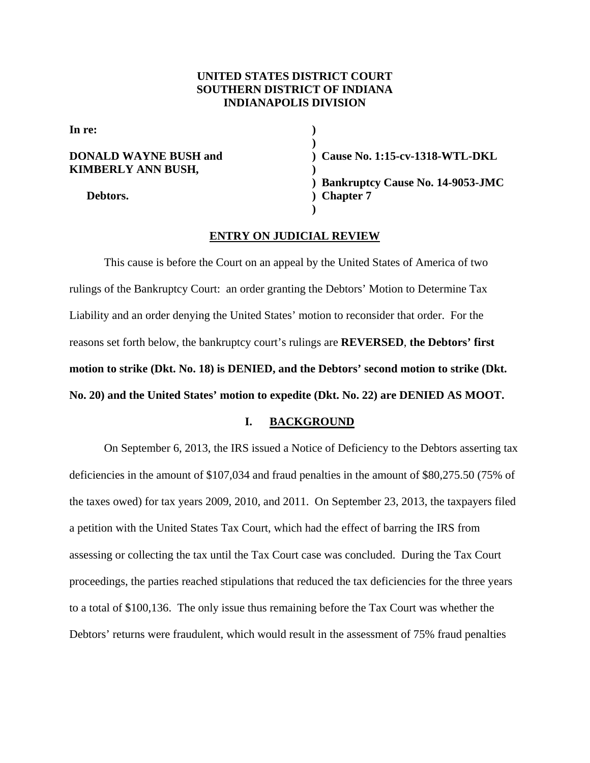## **UNITED STATES DISTRICT COURT SOUTHERN DISTRICT OF INDIANA INDIANAPOLIS DIVISION**

**In re:** (a)  $\qquad \qquad$  (b)  $\qquad \qquad$  (b)  $\qquad \qquad$  (c)  $\qquad \qquad$  (c)  $\qquad \qquad$  (c)  $\qquad \qquad$  (c)  $\qquad \qquad$  (c)  $\qquad \qquad$  (c)  $\qquad \qquad$  (c)  $\qquad \qquad$  (c)  $\qquad \qquad$  (c)  $\qquad \qquad$  (c)  $\qquad \qquad$  (c)  $\qquad \qquad$  (c)  $\qquad \qquad$  (c)  $\qquad \qquad$  (c)

**KIMBERLY ANN BUSH, )** 

**) DONALD WAYNE BUSH and ) Cause No. 1:15-cv-1318-WTL-DKL ) Bankruptcy Cause No. 14-9053-JMC Debtors.** ) Chapter 7 **)** 

#### **ENTRY ON JUDICIAL REVIEW**

 This cause is before the Court on an appeal by the United States of America of two rulings of the Bankruptcy Court: an order granting the Debtors' Motion to Determine Tax Liability and an order denying the United States' motion to reconsider that order. For the reasons set forth below, the bankruptcy court's rulings are **REVERSED**, **the Debtors' first motion to strike (Dkt. No. 18) is DENIED, and the Debtors' second motion to strike (Dkt. No. 20) and the United States' motion to expedite (Dkt. No. 22) are DENIED AS MOOT.** 

## **I. BACKGROUND**

On September 6, 2013, the IRS issued a Notice of Deficiency to the Debtors asserting tax deficiencies in the amount of \$107,034 and fraud penalties in the amount of \$80,275.50 (75% of the taxes owed) for tax years 2009, 2010, and 2011. On September 23, 2013, the taxpayers filed a petition with the United States Tax Court, which had the effect of barring the IRS from assessing or collecting the tax until the Tax Court case was concluded. During the Tax Court proceedings, the parties reached stipulations that reduced the tax deficiencies for the three years to a total of \$100,136. The only issue thus remaining before the Tax Court was whether the Debtors' returns were fraudulent, which would result in the assessment of 75% fraud penalties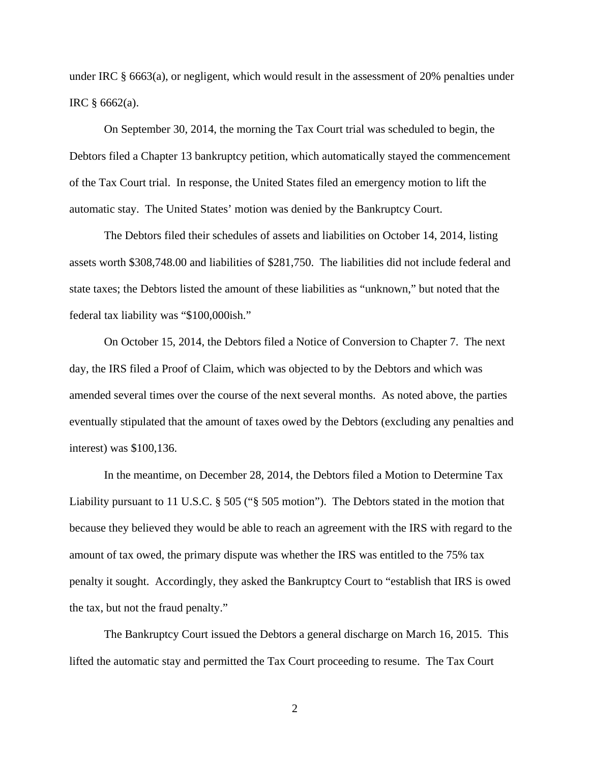under IRC § 6663(a), or negligent, which would result in the assessment of 20% penalties under IRC § 6662(a).

On September 30, 2014, the morning the Tax Court trial was scheduled to begin, the Debtors filed a Chapter 13 bankruptcy petition, which automatically stayed the commencement of the Tax Court trial. In response, the United States filed an emergency motion to lift the automatic stay. The United States' motion was denied by the Bankruptcy Court.

The Debtors filed their schedules of assets and liabilities on October 14, 2014, listing assets worth \$308,748.00 and liabilities of \$281,750. The liabilities did not include federal and state taxes; the Debtors listed the amount of these liabilities as "unknown," but noted that the federal tax liability was "\$100,000ish."

 On October 15, 2014, the Debtors filed a Notice of Conversion to Chapter 7. The next day, the IRS filed a Proof of Claim, which was objected to by the Debtors and which was amended several times over the course of the next several months. As noted above, the parties eventually stipulated that the amount of taxes owed by the Debtors (excluding any penalties and interest) was \$100,136.

 In the meantime, on December 28, 2014, the Debtors filed a Motion to Determine Tax Liability pursuant to 11 U.S.C. § 505 ("§ 505 motion"). The Debtors stated in the motion that because they believed they would be able to reach an agreement with the IRS with regard to the amount of tax owed, the primary dispute was whether the IRS was entitled to the 75% tax penalty it sought. Accordingly, they asked the Bankruptcy Court to "establish that IRS is owed the tax, but not the fraud penalty."

 The Bankruptcy Court issued the Debtors a general discharge on March 16, 2015. This lifted the automatic stay and permitted the Tax Court proceeding to resume. The Tax Court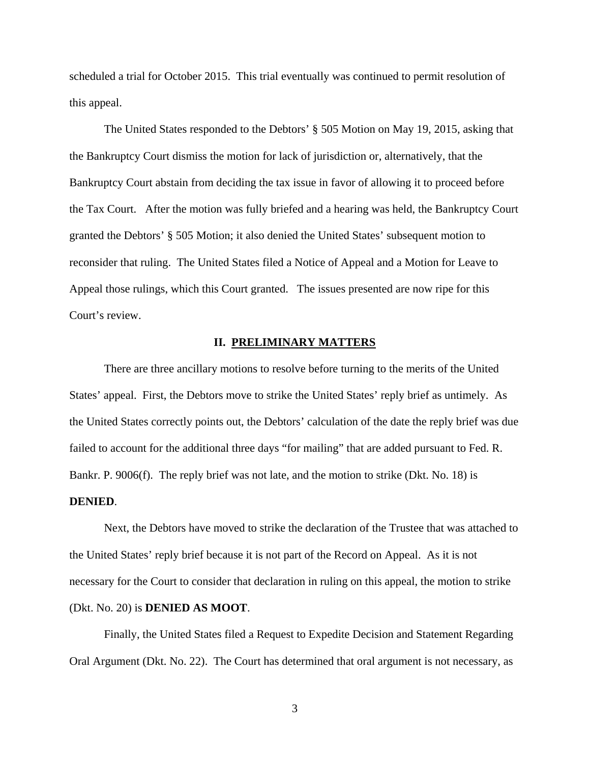scheduled a trial for October 2015. This trial eventually was continued to permit resolution of this appeal.

 The United States responded to the Debtors' § 505 Motion on May 19, 2015, asking that the Bankruptcy Court dismiss the motion for lack of jurisdiction or, alternatively, that the Bankruptcy Court abstain from deciding the tax issue in favor of allowing it to proceed before the Tax Court. After the motion was fully briefed and a hearing was held, the Bankruptcy Court granted the Debtors' § 505 Motion; it also denied the United States' subsequent motion to reconsider that ruling. The United States filed a Notice of Appeal and a Motion for Leave to Appeal those rulings, which this Court granted. The issues presented are now ripe for this Court's review.

#### **II. PRELIMINARY MATTERS**

 There are three ancillary motions to resolve before turning to the merits of the United States' appeal. First, the Debtors move to strike the United States' reply brief as untimely. As the United States correctly points out, the Debtors' calculation of the date the reply brief was due failed to account for the additional three days "for mailing" that are added pursuant to Fed. R. Bankr. P. 9006(f). The reply brief was not late, and the motion to strike (Dkt. No. 18) is **DENIED**.

 Next, the Debtors have moved to strike the declaration of the Trustee that was attached to the United States' reply brief because it is not part of the Record on Appeal. As it is not necessary for the Court to consider that declaration in ruling on this appeal, the motion to strike (Dkt. No. 20) is **DENIED AS MOOT**.

 Finally, the United States filed a Request to Expedite Decision and Statement Regarding Oral Argument (Dkt. No. 22). The Court has determined that oral argument is not necessary, as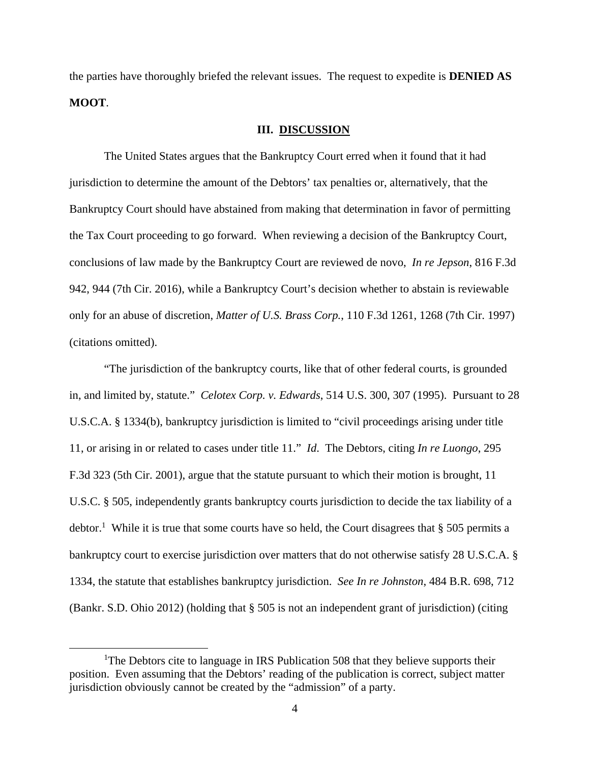the parties have thoroughly briefed the relevant issues. The request to expedite is **DENIED AS MOOT**.

## **III. DISCUSSION**

 The United States argues that the Bankruptcy Court erred when it found that it had jurisdiction to determine the amount of the Debtors' tax penalties or, alternatively, that the Bankruptcy Court should have abstained from making that determination in favor of permitting the Tax Court proceeding to go forward. When reviewing a decision of the Bankruptcy Court, conclusions of law made by the Bankruptcy Court are reviewed de novo, *In re Jepson*, 816 F.3d 942, 944 (7th Cir. 2016), while a Bankruptcy Court's decision whether to abstain is reviewable only for an abuse of discretion, *Matter of U.S. Brass Corp.*, 110 F.3d 1261, 1268 (7th Cir. 1997) (citations omitted).

 "The jurisdiction of the bankruptcy courts, like that of other federal courts, is grounded in, and limited by, statute." *Celotex Corp. v. Edwards*, 514 U.S. 300, 307 (1995). Pursuant to 28 U.S.C.A. § 1334(b), bankruptcy jurisdiction is limited to "civil proceedings arising under title 11, or arising in or related to cases under title 11." *Id*. The Debtors, citing *In re Luongo*, 295 F.3d 323 (5th Cir. 2001), argue that the statute pursuant to which their motion is brought, 11 U.S.C. § 505, independently grants bankruptcy courts jurisdiction to decide the tax liability of a debtor.<sup>1</sup> While it is true that some courts have so held, the Court disagrees that § 505 permits a bankruptcy court to exercise jurisdiction over matters that do not otherwise satisfy 28 U.S.C.A. § 1334, the statute that establishes bankruptcy jurisdiction. *See In re Johnston*, 484 B.R. 698, 712 (Bankr. S.D. Ohio 2012) (holding that § 505 is not an independent grant of jurisdiction) (citing

 $\frac{1}{1}$ <sup>1</sup>The Debtors cite to language in IRS Publication 508 that they believe supports their position. Even assuming that the Debtors' reading of the publication is correct, subject matter jurisdiction obviously cannot be created by the "admission" of a party.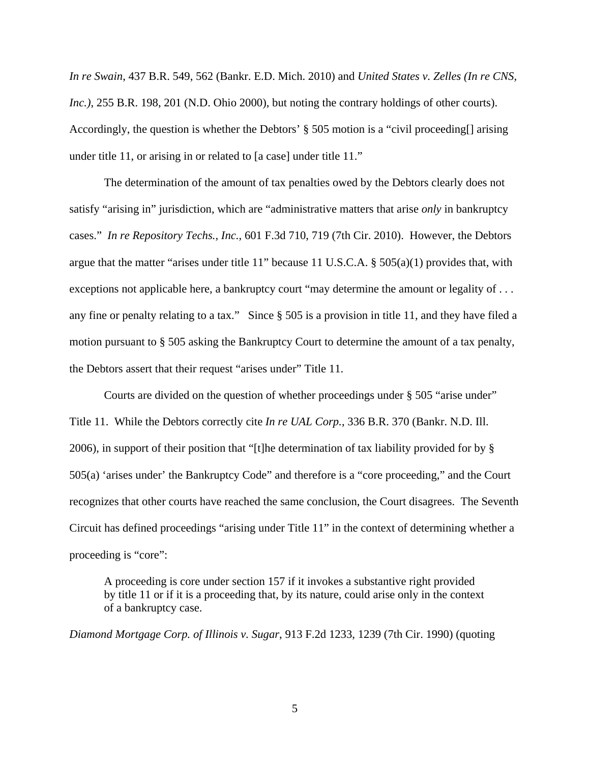*In re Swain*, 437 B.R. 549, 562 (Bankr. E.D. Mich. 2010) and *United States v. Zelles (In re CNS, Inc.)*, 255 B.R. 198, 201 (N.D. Ohio 2000), but noting the contrary holdings of other courts). Accordingly, the question is whether the Debtors' § 505 motion is a "civil proceeding[] arising under title 11, or arising in or related to [a case] under title 11."

 The determination of the amount of tax penalties owed by the Debtors clearly does not satisfy "arising in" jurisdiction, which are "administrative matters that arise *only* in bankruptcy cases." *In re Repository Techs., Inc.*, 601 F.3d 710, 719 (7th Cir. 2010). However, the Debtors argue that the matter "arises under title 11" because 11 U.S.C.A. § 505(a)(1) provides that, with exceptions not applicable here, a bankruptcy court "may determine the amount or legality of ... any fine or penalty relating to a tax." Since § 505 is a provision in title 11, and they have filed a motion pursuant to § 505 asking the Bankruptcy Court to determine the amount of a tax penalty, the Debtors assert that their request "arises under" Title 11.

 Courts are divided on the question of whether proceedings under § 505 "arise under" Title 11. While the Debtors correctly cite *In re UAL Corp.*, 336 B.R. 370 (Bankr. N.D. Ill. 2006), in support of their position that "[t]he determination of tax liability provided for by § 505(a) 'arises under' the Bankruptcy Code" and therefore is a "core proceeding," and the Court recognizes that other courts have reached the same conclusion, the Court disagrees. The Seventh Circuit has defined proceedings "arising under Title 11" in the context of determining whether a proceeding is "core":

A proceeding is core under section 157 if it invokes a substantive right provided by title 11 or if it is a proceeding that, by its nature, could arise only in the context of a bankruptcy case.

*Diamond Mortgage Corp. of Illinois v. Sugar*, 913 F.2d 1233, 1239 (7th Cir. 1990) (quoting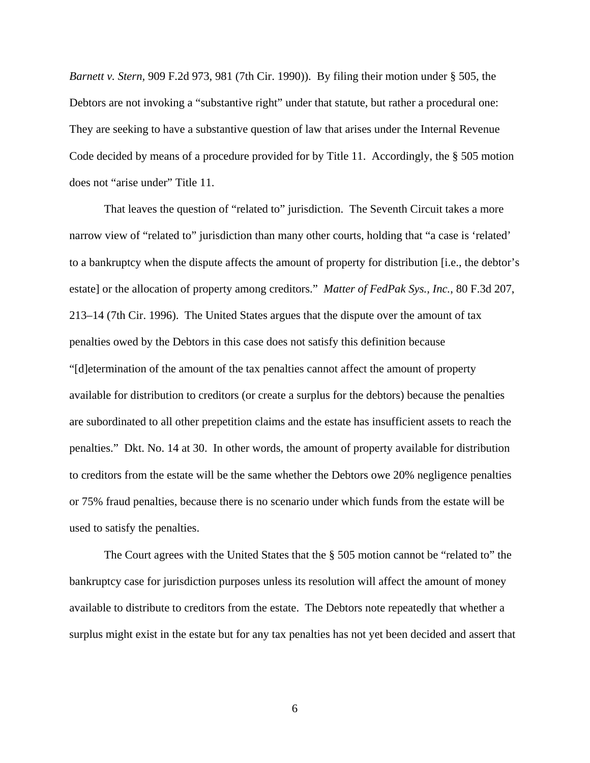*Barnett v. Stern,* 909 F.2d 973, 981 (7th Cir. 1990)). By filing their motion under § 505, the Debtors are not invoking a "substantive right" under that statute, but rather a procedural one: They are seeking to have a substantive question of law that arises under the Internal Revenue Code decided by means of a procedure provided for by Title 11. Accordingly, the § 505 motion does not "arise under" Title 11.

 That leaves the question of "related to" jurisdiction. The Seventh Circuit takes a more narrow view of "related to" jurisdiction than many other courts, holding that "a case is 'related' to a bankruptcy when the dispute affects the amount of property for distribution [i.e., the debtor's estate] or the allocation of property among creditors." *Matter of FedPak Sys., Inc.*, 80 F.3d 207, 213–14 (7th Cir. 1996). The United States argues that the dispute over the amount of tax penalties owed by the Debtors in this case does not satisfy this definition because "[d]etermination of the amount of the tax penalties cannot affect the amount of property available for distribution to creditors (or create a surplus for the debtors) because the penalties are subordinated to all other prepetition claims and the estate has insufficient assets to reach the penalties." Dkt. No. 14 at 30. In other words, the amount of property available for distribution to creditors from the estate will be the same whether the Debtors owe 20% negligence penalties or 75% fraud penalties, because there is no scenario under which funds from the estate will be used to satisfy the penalties.

 The Court agrees with the United States that the § 505 motion cannot be "related to" the bankruptcy case for jurisdiction purposes unless its resolution will affect the amount of money available to distribute to creditors from the estate. The Debtors note repeatedly that whether a surplus might exist in the estate but for any tax penalties has not yet been decided and assert that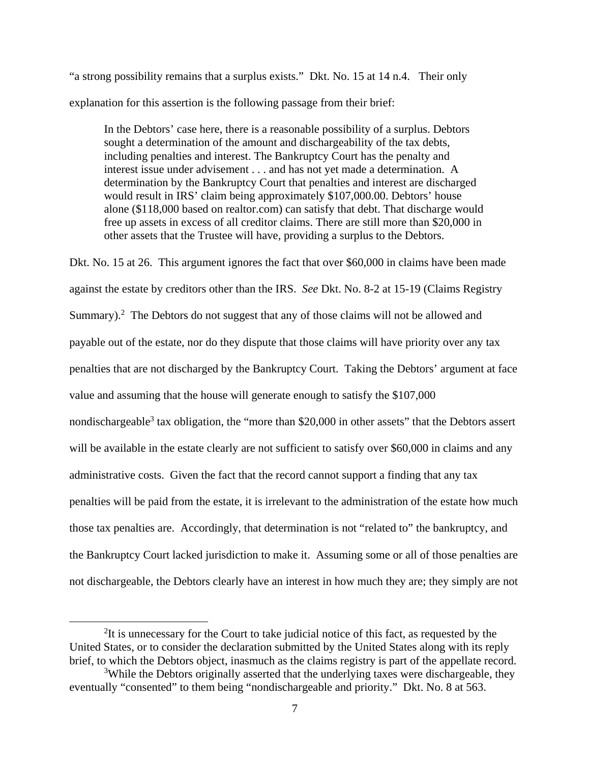"a strong possibility remains that a surplus exists." Dkt. No. 15 at 14 n.4. Their only explanation for this assertion is the following passage from their brief:

In the Debtors' case here, there is a reasonable possibility of a surplus. Debtors sought a determination of the amount and dischargeability of the tax debts, including penalties and interest. The Bankruptcy Court has the penalty and interest issue under advisement . . . and has not yet made a determination. A determination by the Bankruptcy Court that penalties and interest are discharged would result in IRS' claim being approximately \$107,000.00. Debtors' house alone (\$118,000 based on realtor.com) can satisfy that debt. That discharge would free up assets in excess of all creditor claims. There are still more than \$20,000 in other assets that the Trustee will have, providing a surplus to the Debtors.

Dkt. No. 15 at 26. This argument ignores the fact that over \$60,000 in claims have been made against the estate by creditors other than the IRS. *See* Dkt. No. 8-2 at 15-19 (Claims Registry Summary). $^2$  The Debtors do not suggest that any of those claims will not be allowed and payable out of the estate, nor do they dispute that those claims will have priority over any tax penalties that are not discharged by the Bankruptcy Court. Taking the Debtors' argument at face value and assuming that the house will generate enough to satisfy the \$107,000 nondischargeable<sup>3</sup> tax obligation, the "more than \$20,000 in other assets" that the Debtors assert will be available in the estate clearly are not sufficient to satisfy over \$60,000 in claims and any administrative costs. Given the fact that the record cannot support a finding that any tax penalties will be paid from the estate, it is irrelevant to the administration of the estate how much those tax penalties are. Accordingly, that determination is not "related to" the bankruptcy, and the Bankruptcy Court lacked jurisdiction to make it. Assuming some or all of those penalties are not dischargeable, the Debtors clearly have an interest in how much they are; they simply are not

 $\frac{1}{2}$ <sup>2</sup>It is unnecessary for the Court to take judicial notice of this fact, as requested by the United States, or to consider the declaration submitted by the United States along with its reply brief, to which the Debtors object, inasmuch as the claims registry is part of the appellate record.

<sup>&</sup>lt;sup>3</sup>While the Debtors originally asserted that the underlying taxes were dischargeable, they eventually "consented" to them being "nondischargeable and priority." Dkt. No. 8 at 563.